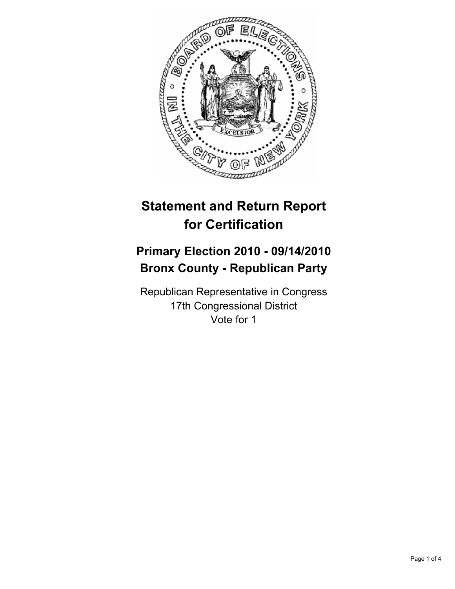

# **Statement and Return Report for Certification**

# **Primary Election 2010 - 09/14/2010 Bronx County - Republican Party**

Republican Representative in Congress 17th Congressional District Vote for 1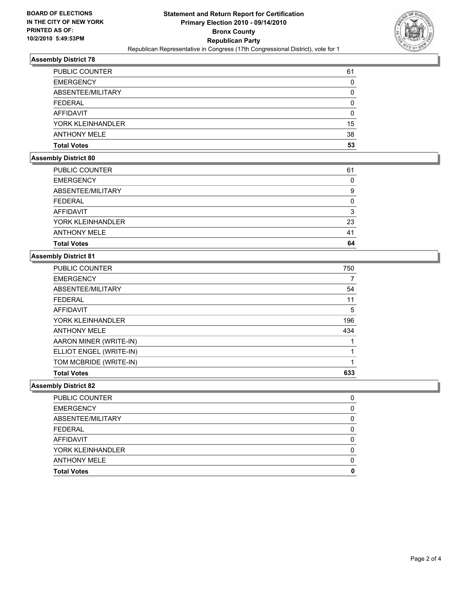

#### **Assembly District 78**

| <b>PUBLIC COUNTER</b> | 61 |
|-----------------------|----|
| <b>EMERGENCY</b>      | 0  |
| ABSENTEE/MILITARY     | 0  |
| <b>FEDERAL</b>        | 0  |
| <b>AFFIDAVIT</b>      | 0  |
| YORK KLEINHANDLER     | 15 |
| <b>ANTHONY MELE</b>   | 38 |
| <b>Total Votes</b>    | 53 |

# **Assembly District 80**

| <b>PUBLIC COUNTER</b> | 61 |
|-----------------------|----|
| <b>EMERGENCY</b>      | 0  |
| ABSENTEE/MILITARY     | 9  |
| <b>FEDERAL</b>        | 0  |
| AFFIDAVIT             | 3  |
| YORK KLEINHANDLER     | 23 |
| <b>ANTHONY MELE</b>   | 41 |
| <b>Total Votes</b>    | 64 |

### **Assembly District 81**

| <b>PUBLIC COUNTER</b>   | 750 |
|-------------------------|-----|
| <b>EMERGENCY</b>        | 7   |
| ABSENTEE/MILITARY       | 54  |
| <b>FEDERAL</b>          | 11  |
| AFFIDAVIT               | 5   |
| YORK KLEINHANDLER       | 196 |
| <b>ANTHONY MELE</b>     | 434 |
| AARON MINER (WRITE-IN)  |     |
| ELLIOT ENGEL (WRITE-IN) | 1   |
| TOM MCBRIDE (WRITE-IN)  |     |
| <b>Total Votes</b>      | 633 |

#### **Assembly District 82**

| <b>PUBLIC COUNTER</b> |   |
|-----------------------|---|
| <b>EMERGENCY</b>      | O |
| ABSENTEE/MILITARY     | O |
| <b>FEDERAL</b>        | O |
| AFFIDAVIT             |   |
| YORK KLEINHANDLER     | O |
| <b>ANTHONY MELE</b>   |   |
| <b>Total Votes</b>    | Ω |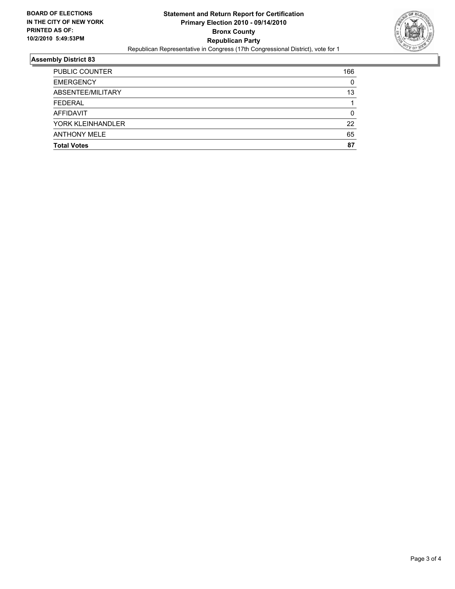

## **Assembly District 83**

| <b>Total Votes</b>    | 87  |
|-----------------------|-----|
|                       |     |
| <b>ANTHONY MELE</b>   | 65  |
| YORK KLEINHANDLER     | 22  |
| AFFIDAVIT             | 0   |
| <b>FEDERAL</b>        |     |
| ABSENTEE/MILITARY     | 13  |
| <b>EMERGENCY</b>      | 0   |
| <b>PUBLIC COUNTER</b> | 166 |